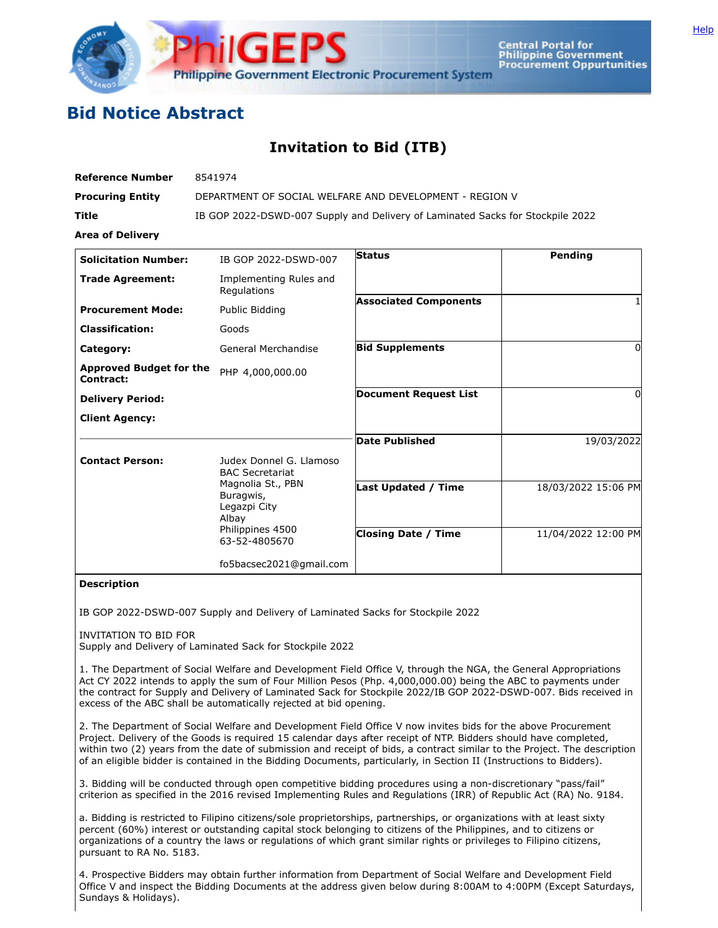

**Central Portal for Philippine Government Procurement Oppurtunities** 

## **Bid Notice Abstract**

## **Invitation to Bid (ITB)**

| <b>Reference Number</b>                     | 8541974                                                                                      |                              |                     |
|---------------------------------------------|----------------------------------------------------------------------------------------------|------------------------------|---------------------|
| <b>Procuring Entity</b>                     | DEPARTMENT OF SOCIAL WELFARE AND DEVELOPMENT - REGION V                                      |                              |                     |
| <b>Title</b>                                | IB GOP 2022-DSWD-007 Supply and Delivery of Laminated Sacks for Stockpile 2022               |                              |                     |
| <b>Area of Delivery</b>                     |                                                                                              |                              |                     |
| <b>Solicitation Number:</b>                 | IB GOP 2022-DSWD-007                                                                         | <b>Status</b>                | Pending             |
| <b>Trade Agreement:</b>                     | Implementing Rules and<br>Regulations                                                        |                              |                     |
| <b>Procurement Mode:</b>                    | Public Bidding                                                                               | <b>Associated Components</b> |                     |
| <b>Classification:</b>                      | Goods                                                                                        |                              |                     |
| Category:                                   | General Merchandise                                                                          | <b>Bid Supplements</b>       | 0                   |
| <b>Approved Budget for the</b><br>Contract: | PHP 4,000,000.00                                                                             |                              |                     |
| <b>Delivery Period:</b>                     |                                                                                              | <b>Document Request List</b> | 0                   |
| <b>Client Agency:</b>                       |                                                                                              |                              |                     |
|                                             |                                                                                              | <b>Date Published</b>        | 19/03/2022          |
| <b>Contact Person:</b>                      | Judex Donnel G. Llamoso<br><b>BAC Secretariat</b>                                            |                              |                     |
|                                             | Magnolia St., PBN<br>Buragwis,<br>Legazpi City<br>Albay<br>Philippines 4500<br>63-52-4805670 | <b>Last Updated / Time</b>   | 18/03/2022 15:06 PM |
|                                             |                                                                                              | <b>Closing Date / Time</b>   | 11/04/2022 12:00 PM |
|                                             | fo5bacsec2021@gmail.com                                                                      |                              |                     |

## **Description**

IB GOP 2022-DSWD-007 Supply and Delivery of Laminated Sacks for Stockpile 2022

INVITATION TO BID FOR

Supply and Delivery of Laminated Sack for Stockpile 2022

1. The Department of Social Welfare and Development Field Office V, through the NGA, the General Appropriations Act CY 2022 intends to apply the sum of Four Million Pesos (Php. 4,000,000.00) being the ABC to payments under the contract for Supply and Delivery of Laminated Sack for Stockpile 2022/IB GOP 2022-DSWD-007. Bids received in excess of the ABC shall be automatically rejected at bid opening.

2. The Department of Social Welfare and Development Field Office V now invites bids for the above Procurement Project. Delivery of the Goods is required 15 calendar days after receipt of NTP. Bidders should have completed, within two (2) years from the date of submission and receipt of bids, a contract similar to the Project. The description of an eligible bidder is contained in the Bidding Documents, particularly, in Section II (Instructions to Bidders).

3. Bidding will be conducted through open competitive bidding procedures using a non-discretionary "pass/fail" criterion as specified in the 2016 revised Implementing Rules and Regulations (IRR) of Republic Act (RA) No. 9184.

a. Bidding is restricted to Filipino citizens/sole proprietorships, partnerships, or organizations with at least sixty percent (60%) interest or outstanding capital stock belonging to citizens of the Philippines, and to citizens or organizations of a country the laws or regulations of which grant similar rights or privileges to Filipino citizens, pursuant to RA No. 5183.

4. Prospective Bidders may obtain further information from Department of Social Welfare and Development Field Office V and inspect the Bidding Documents at the address given below during 8:00AM to 4:00PM (Except Saturdays, Sundays & Holidays).